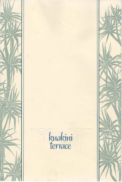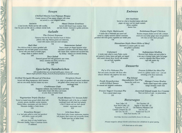### *Soups*

### *Chilled Mauna Loa Papaya Bisque*  Creamy essence of Puna papaya whipped with cream

and served in a most delightful fashion.

#### *5aimin*

A local favorite. Hearty and hot with noodles, Char Siu pork and fish cake in a delicate oriental broth. 4.50

# 3.95 *Maui Onion Gratinee*

**Served with French bread croutons, Swiss**  and Jack cheeses - browned to golden perfection.

# *Salads* 3.95

### *The Orient Express*

**Harmony from the Far East. Boneless breast of chicken julienne with crisp Waimea greens and watercress, tossed with sesame seeds and sweet snowpeas.** 

Seasoned ground beef with guacamole, sour cream, **lettuce, tomatoes and olives; served in a**  crisp tortilla shell. 5.95

### *Bali Hai*

**Five delicious fruits in season sprinkled with macadamia nuts and fresh grated coconut flakes.**  Served with your choice of lowfat yogurt, **cottage cheese or rainbow sherbet.** 

# 7.50 *Sunomono Salad*

From a simple yet elegant Japanese recipe; marinated cucumbers and fresh Manoa lettuce **with tomato slices, crabmeat and succulent baby**  bay shrimp - tossed in an oriental dressing. 6.95 *Taco Salad* 7.95

*Keauhou Burger*  6 oz. beef patty grilled to order and garnished **with lettuce, tomato and pickle.**  5.25 . . . **with your choice of crisp broiled bacon,**  Wisconsin cheddar, Swiss or American cheese.

## *Specialty Sandwiches*

*All sandwiches are served with your choice of Maui style potato chips, french fried potatoes or potato salad.* 

### *Grilled Teriyaki Breast of Chicken*

**Served with Mung beansprouts, sliced tomatoes and our own smoky flavored sesame soy sauce.** 

6.95

### *Strip loin Steak*

**6 oz. center cut garnished with sauteed mushrooms and grilled onions; served open face on sliced**  sourdough bread.

*Crabhause Club* 9.95

### *Vegetarian Triple Decker*

**Served on toasted stone ground whole wheat with avocado, sprouts, shredded carrots, tomatoes, Waimea lettuce, mayonnaise and your choice of Wisconsin cheddar or Swiss cheese.**  5.95

sliced turkey breast with lettuce and tomato on your choice of toasted bread. 7.95

*Assorted Island-made Ice Creams*  This is as fresh as it gets - no preservatives.

Old Fashioned Milkshakes 3.00

. 75 additional

Dungeness crabmeat, crisp broiled bacon and thinly

### *Fresh Moana I'A (ocean fish)*

Kona Coffee 1.25 Hot Chocolate 1.00 Kona DeCaf Coffee 1.25 Regular or Skim Milk 1.25<br>Peppermint Tea 1.25 Old Fashioned Milkshakes 3.0 Constant Comment Tea 1.25 Iced Tea 1.25 Earl Grey Tea 1.25 Kuakini Iced Tea 2.75 Fresh Fruit Smoothy 3.50

The fisherman's catch of the day on toasted sourdough bread with fresh local spinach, a hint of cilantro and our chef's special **mustard· mayonnaise sauce.**  8.25

*Ichi-ban Hero*  **Thinly sliced turkey breast, mushrooms, tomatoes,**  bell peppers, Maui onions and mozzarella cheese; **broiled open face on Italian bread.**  7.25

### *Entrees*

### *Ahi Sashimi*

Served on a bed of shredded daikon with fresh **ginger, soy sauce and hot wasabi mustard.**  (When available) Market Price

### *Cajun Style Mahimahi*

**A tender filet of Mahimahi pan seared and served in a lightly seasoned seafood consomme,**  garnished with fresh garden vegetables and farfalle pasta. 7.50

### *Kalakaua Royal Chicken*

**Boneless tempura chicken served with a delicate sweet and sour lychee ginger sauce and garnished**  with slices of fresh island pineapple. 7.95

### *Hawaiian Style Short Ribs of Beef*

**Marinated in a sesame garlic soy sauce**  and grilled to perfection. 7.95

#### *Calamari*

**A tender steak rolled in crusty Panko crumbs**  and sauteed in butter, lemon and garlic and topped with toasted almond slices. Served with steamed rice and fresh vegetables. 7.95

### *Indonesian Medley*

Skewered beef, chicken and pork grilled in **a sate sauce of peanut butter, garlic and ginger**  served in vegetable filled Manoa lettuce cups with sesame dip. 7.50

### *Desserts*

*Pu'u 0'0 Volcano Pie Frozen Lilikoi Ice Box Pie*  **Rich and creamy chocolate with Kona coffee sahayon ribboned with raspberry lava sauce.**  *3.25 Big Island* 

**Served on a graham cracker crust . cool and refreshing as the Kona tradewinds.**  2.95

*Fresh Strawberries with Lilikoi Sauce* 

*Macadamia Nut Pie*  An unusual and delightful combination. **Famous the world over.**  2.95

2.95

### *Mango Creme Brulee*

Vanilla custard topped with a golden **mango cinnamon crumb crust.**  2.95

*Frozen Yogurt Coconut Pie*  From a special island recipe. 2.95 2.50

## *Beverages*

*Full Bar Service available from 11:30 a.m.* 

*Please inquire about Keiki selections for children in your party.* 

**4.17% Hawaii sales tax will be added**